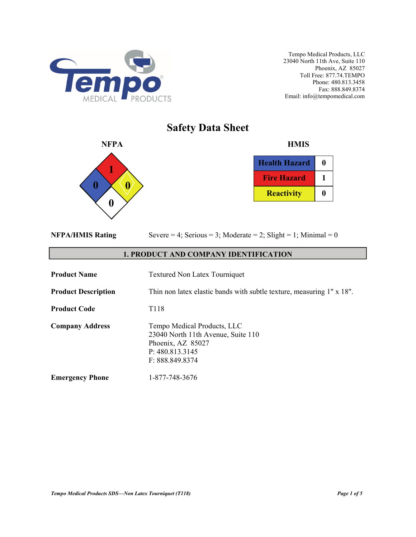

# **Safety Data Sheet**



| <b>Health Hazard</b> |  |
|----------------------|--|
| <b>Fire Hazard</b>   |  |
| <b>Reactivity</b>    |  |

|  | <b>NFPA/HMIS Rating</b> |
|--|-------------------------|
|  |                         |

Severe  $= 4$ ; Serious  $= 3$ ; Moderate  $= 2$ ; Slight  $= 1$ ; Minimal  $= 0$ 

# **1. PRODUCT AND COMPANY IDENTIFICATION**

| <b>Product Name</b>        | <b>Textured Non Latex Tourniquet</b>                                                                                         |
|----------------------------|------------------------------------------------------------------------------------------------------------------------------|
| <b>Product Description</b> | Thin non latex elastic bands with subtle texture, measuring 1" x 18".                                                        |
| <b>Product Code</b>        | T <sub>118</sub>                                                                                                             |
| <b>Company Address</b>     | Tempo Medical Products, LLC<br>23040 North 11th Avenue, Suite 110<br>Phoenix, AZ 85027<br>P: 480.813.3145<br>F: 888.849.8374 |
| <b>Emergency Phone</b>     | 1-877-748-3676                                                                                                               |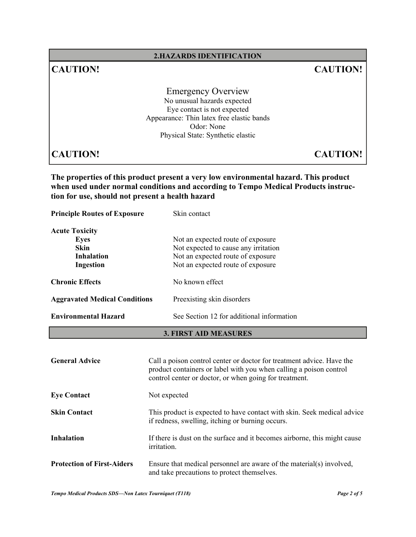# **2.HAZARDS IDENTIFICATION**

# **CAUTION! CAUTION!**

Emergency Overview No unusual hazards expected Eye contact is not expected Appearance: Thin latex free elastic bands Odor: None Physical State: Synthetic elastic

**CAUTION! CAUTION!**

**The properties of this product present a very low environmental hazard. This product when used under normal conditions and according to Tempo Medical Products instruction for use, should not present a health hazard** 

**Principle Routes of Exposure** Skin contact **Acute Toxicity Eyes** Not an expected route of exposure **Skin** Not expected to cause any irritation **Inhalation** Not an expected route of exposure **Ingestion** Not an expected route of exposure **Chronic Effects** No known effect Aggravated Medical Conditions Preexisting skin disorders **Environmental Hazard** See Section 12 for additional information

#### **3. FIRST AID MEASURES**

| <b>General Advice</b>             | Call a poison control center or doctor for treatment advice. Have the<br>product containers or label with you when calling a poison control<br>control center or doctor, or when going for treatment. |
|-----------------------------------|-------------------------------------------------------------------------------------------------------------------------------------------------------------------------------------------------------|
| <b>Eye Contact</b>                | Not expected                                                                                                                                                                                          |
| <b>Skin Contact</b>               | This product is expected to have contact with skin. Seek medical advice<br>if redness, swelling, itching or burning occurs.                                                                           |
| <b>Inhalation</b>                 | If there is dust on the surface and it becomes airborne, this might cause<br><i>irritation.</i>                                                                                                       |
| <b>Protection of First-Aiders</b> | Ensure that medical personnel are aware of the material(s) involved,<br>and take precautions to protect themselves.                                                                                   |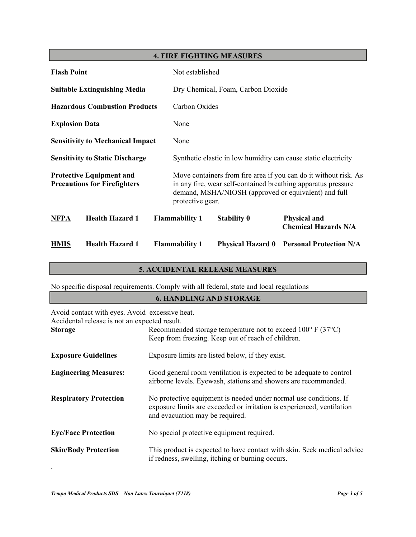# **4. FIRE FIGHTING MEASURES**

| <b>Flash Point</b>                                                     |                                         |                                    | Not established                                                                                                                                                                                               |                          |                                                                |
|------------------------------------------------------------------------|-----------------------------------------|------------------------------------|---------------------------------------------------------------------------------------------------------------------------------------------------------------------------------------------------------------|--------------------------|----------------------------------------------------------------|
| <b>Suitable Extinguishing Media</b>                                    |                                         | Dry Chemical, Foam, Carbon Dioxide |                                                                                                                                                                                                               |                          |                                                                |
|                                                                        | <b>Hazardous Combustion Products</b>    |                                    | Carbon Oxides                                                                                                                                                                                                 |                          |                                                                |
| <b>Explosion Data</b>                                                  |                                         |                                    | None                                                                                                                                                                                                          |                          |                                                                |
|                                                                        | <b>Sensitivity to Mechanical Impact</b> |                                    | None                                                                                                                                                                                                          |                          |                                                                |
|                                                                        | <b>Sensitivity to Static Discharge</b>  |                                    |                                                                                                                                                                                                               |                          | Synthetic elastic in low humidity can cause static electricity |
| <b>Protective Equipment and</b><br><b>Precautions for Firefighters</b> |                                         |                                    | Move containers from fire area if you can do it without risk. As<br>in any fire, wear self-contained breathing apparatus pressure<br>demand, MSHA/NIOSH (approved or equivalent) and full<br>protective gear. |                          |                                                                |
| <b>NFPA</b>                                                            | <b>Health Hazard 1</b>                  |                                    | <b>Flammability 1</b>                                                                                                                                                                                         | <b>Stability 0</b>       | <b>Physical and</b><br><b>Chemical Hazards N/A</b>             |
| <b>HMIS</b>                                                            | <b>Health Hazard 1</b>                  |                                    | <b>Flammability 1</b>                                                                                                                                                                                         | <b>Physical Hazard 0</b> | <b>Personal Protection N/A</b>                                 |

# **5. ACCIDENTAL RELEASE MEASURES**

No specific disposal requirements. Comply with all federal, state and local regulations

# **6. HANDLING AND STORAGE**

| Avoid contact with eyes. Avoid excessive heat.<br>Accidental release is not an expected result. |                                                                                                                                                                                |
|-------------------------------------------------------------------------------------------------|--------------------------------------------------------------------------------------------------------------------------------------------------------------------------------|
| <b>Storage</b>                                                                                  | Recommended storage temperature not to exceed $100^{\circ}$ F (37 $^{\circ}$ C)<br>Keep from freezing. Keep out of reach of children.                                          |
| <b>Exposure Guidelines</b>                                                                      | Exposure limits are listed below, if they exist.                                                                                                                               |
| <b>Engineering Measures:</b>                                                                    | Good general room ventilation is expected to be adequate to control<br>airborne levels. Eyewash, stations and showers are recommended.                                         |
| <b>Respiratory Protection</b>                                                                   | No protective equipment is needed under normal use conditions. If<br>exposure limits are exceeded or irritation is experienced, ventilation<br>and evacuation may be required. |
| <b>Eye/Face Protection</b>                                                                      | No special protective equipment required.                                                                                                                                      |
| <b>Skin/Body Protection</b>                                                                     | This product is expected to have contact with skin. Seek medical advice<br>if redness, swelling, itching or burning occurs.                                                    |

.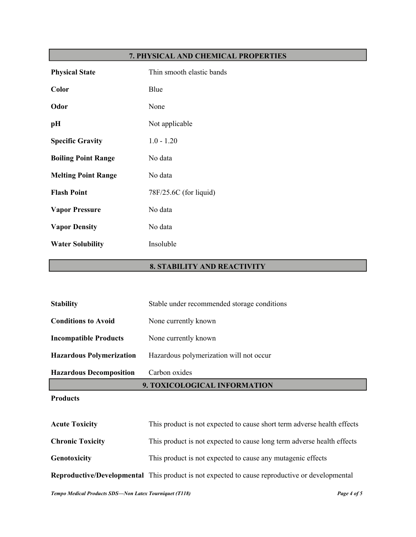# **7. PHYSICAL AND CHEMICAL PROPERTIES**

| <b>Physical State</b>      | Thin smooth elastic bands |
|----------------------------|---------------------------|
| Color                      | Blue                      |
| Odor                       | None                      |
| pH                         | Not applicable            |
| <b>Specific Gravity</b>    | $1.0 - 1.20$              |
| <b>Boiling Point Range</b> | No data                   |
| <b>Melting Point Range</b> | No data                   |
| <b>Flash Point</b>         | 78F/25.6C (for liquid)    |
| <b>Vapor Pressure</b>      | No data                   |
| <b>Vapor Density</b>       | No data                   |
| <b>Water Solubility</b>    | Insoluble                 |

# **8. STABILITY AND REACTIVITY**

| $\mathbf{D}_{\mathbf{u}\alpha}$ $\mathbf{J}_{\mathbf{u}\alpha}$ $\mathbf{f}_{\alpha}$ |                                             |  |
|---------------------------------------------------------------------------------------|---------------------------------------------|--|
| 9. TOXICOLOGICAL INFORMATION                                                          |                                             |  |
| <b>Hazardous Decomposition</b>                                                        | Carbon oxides                               |  |
| <b>Hazardous Polymerization</b>                                                       | Hazardous polymerization will not occur     |  |
| <b>Incompatible Products</b>                                                          | None currently known                        |  |
| <b>Conditions to Avoid</b>                                                            | None currently known                        |  |
| <b>Stability</b>                                                                      | Stable under recommended storage conditions |  |

#### **Products**

| <b>Acute Toxicity</b>   | This product is not expected to cause short term adverse health effects                               |
|-------------------------|-------------------------------------------------------------------------------------------------------|
| <b>Chronic Toxicity</b> | This product is not expected to cause long term adverse health effects                                |
| Genotoxicity            | This product is not expected to cause any mutagenic effects                                           |
|                         | <b>Reproductive/Developmental</b> This product is not expected to cause reproductive or developmental |